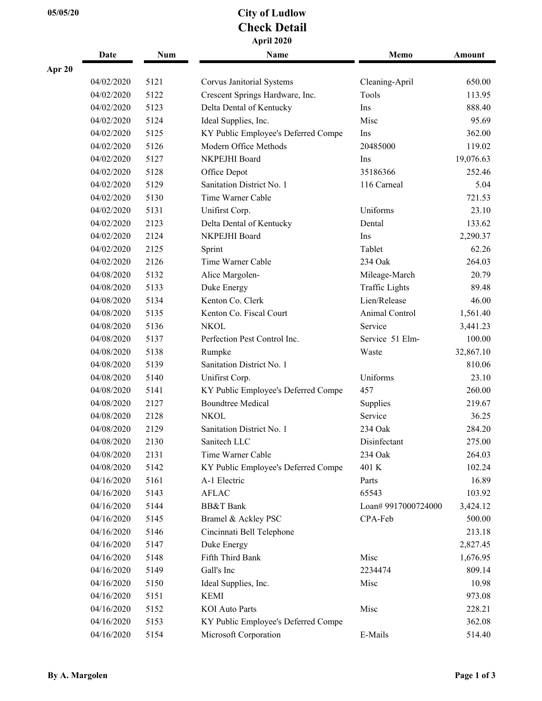## **05/05/20 City of Ludlow Check Detail April 2020**

|        | Date       | Num  | Name                                | Memo                  | Amount    |
|--------|------------|------|-------------------------------------|-----------------------|-----------|
| Apr 20 |            |      |                                     |                       |           |
|        | 04/02/2020 | 5121 | Corvus Janitorial Systems           | Cleaning-April        | 650.00    |
|        | 04/02/2020 | 5122 | Crescent Springs Hardware, Inc.     | Tools                 | 113.95    |
|        | 04/02/2020 | 5123 | Delta Dental of Kentucky            | Ins                   | 888.40    |
|        | 04/02/2020 | 5124 | Ideal Supplies, Inc.                | Misc                  | 95.69     |
|        | 04/02/2020 | 5125 | KY Public Employee's Deferred Compe | Ins                   | 362.00    |
|        | 04/02/2020 | 5126 | Modern Office Methods               | 20485000              | 119.02    |
|        | 04/02/2020 | 5127 | NKPEJHI Board                       | Ins                   | 19,076.63 |
|        | 04/02/2020 | 5128 | Office Depot                        | 35186366              | 252.46    |
|        | 04/02/2020 | 5129 | Sanitation District No. 1           | 116 Carneal           | 5.04      |
|        | 04/02/2020 | 5130 | Time Warner Cable                   |                       | 721.53    |
|        | 04/02/2020 | 5131 | Unifirst Corp.                      | Uniforms              | 23.10     |
|        | 04/02/2020 | 2123 | Delta Dental of Kentucky            | Dental                | 133.62    |
|        | 04/02/2020 | 2124 | NKPEJHI Board                       | Ins                   | 2,290.37  |
|        | 04/02/2020 | 2125 | Sprint                              | Tablet                | 62.26     |
|        | 04/02/2020 | 2126 | Time Warner Cable                   | 234 Oak               | 264.03    |
|        | 04/08/2020 | 5132 | Alice Margolen-                     | Mileage-March         | 20.79     |
|        | 04/08/2020 | 5133 | Duke Energy                         | <b>Traffic Lights</b> | 89.48     |
|        | 04/08/2020 | 5134 | Kenton Co. Clerk                    | Lien/Release          | 46.00     |
|        | 04/08/2020 | 5135 | Kenton Co. Fiscal Court             | Animal Control        | 1,561.40  |
|        | 04/08/2020 | 5136 | <b>NKOL</b>                         | Service               | 3,441.23  |
|        | 04/08/2020 | 5137 | Perfection Pest Control Inc.        | Service 51 Elm-       | 100.00    |
|        | 04/08/2020 | 5138 | Rumpke                              | Waste                 | 32,867.10 |
|        | 04/08/2020 | 5139 | Sanitation District No. 1           |                       | 810.06    |
|        | 04/08/2020 | 5140 | Unifirst Corp.                      | Uniforms              | 23.10     |
|        | 04/08/2020 | 5141 | KY Public Employee's Deferred Compe | 457                   | 260.00    |
|        | 04/08/2020 | 2127 | <b>Boundtree Medical</b>            | Supplies              | 219.67    |
|        | 04/08/2020 | 2128 | <b>NKOL</b>                         | Service               | 36.25     |
|        | 04/08/2020 | 2129 | Sanitation District No. 1           | 234 Oak               | 284.20    |
|        | 04/08/2020 | 2130 | Sanitech LLC                        | Disinfectant          | 275.00    |
|        | 04/08/2020 | 2131 | Time Warner Cable                   | 234 Oak               | 264.03    |
|        | 04/08/2020 | 5142 | KY Public Employee's Deferred Compe | 401 K                 | 102.24    |
|        | 04/16/2020 | 5161 | A-1 Electric                        | Parts                 | 16.89     |
|        | 04/16/2020 | 5143 | <b>AFLAC</b>                        | 65543                 | 103.92    |
|        | 04/16/2020 | 5144 | <b>BB&amp;T</b> Bank                | Loan# 9917000724000   | 3,424.12  |
|        | 04/16/2020 | 5145 | Bramel & Ackley PSC                 | CPA-Feb               | 500.00    |
|        | 04/16/2020 | 5146 | Cincinnati Bell Telephone           |                       | 213.18    |
|        | 04/16/2020 | 5147 | Duke Energy                         |                       | 2,827.45  |
|        | 04/16/2020 | 5148 | Fifth Third Bank                    | Misc                  | 1,676.95  |
|        | 04/16/2020 | 5149 | Gall's Inc                          | 2234474               | 809.14    |
|        | 04/16/2020 | 5150 | Ideal Supplies, Inc.                | Misc                  | 10.98     |
|        | 04/16/2020 | 5151 | <b>KEMI</b>                         |                       | 973.08    |
|        | 04/16/2020 | 5152 | <b>KOI</b> Auto Parts               | Misc                  | 228.21    |
|        | 04/16/2020 | 5153 | KY Public Employee's Deferred Compe |                       | 362.08    |
|        | 04/16/2020 | 5154 | Microsoft Corporation               | E-Mails               | 514.40    |
|        |            |      |                                     |                       |           |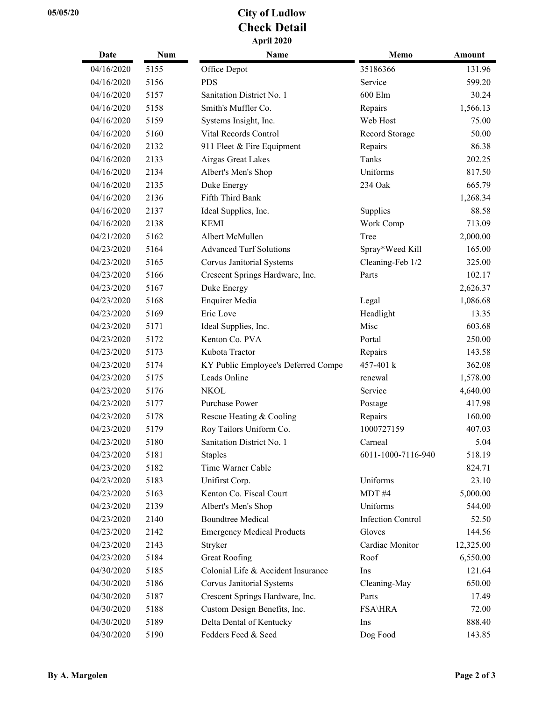## **05/05/20 City of Ludlow Check Detail April 2020**

| Date       | Num  | Name                                | Memo                     | <b>Amount</b> |
|------------|------|-------------------------------------|--------------------------|---------------|
| 04/16/2020 | 5155 | Office Depot                        | 35186366                 | 131.96        |
| 04/16/2020 | 5156 | <b>PDS</b>                          | Service                  | 599.20        |
| 04/16/2020 | 5157 | Sanitation District No. 1           | 600 Elm                  | 30.24         |
| 04/16/2020 | 5158 | Smith's Muffler Co.                 | Repairs                  | 1,566.13      |
| 04/16/2020 | 5159 | Systems Insight, Inc.               | Web Host                 | 75.00         |
| 04/16/2020 | 5160 | Vital Records Control               | Record Storage           | 50.00         |
| 04/16/2020 | 2132 | 911 Fleet & Fire Equipment          | Repairs                  | 86.38         |
| 04/16/2020 | 2133 | Airgas Great Lakes                  | Tanks                    | 202.25        |
| 04/16/2020 | 2134 | Albert's Men's Shop                 | Uniforms                 | 817.50        |
| 04/16/2020 | 2135 | Duke Energy                         | 234 Oak                  | 665.79        |
| 04/16/2020 | 2136 | Fifth Third Bank                    |                          | 1,268.34      |
| 04/16/2020 | 2137 | Ideal Supplies, Inc.                | Supplies                 | 88.58         |
| 04/16/2020 | 2138 | <b>KEMI</b>                         | Work Comp                | 713.09        |
| 04/21/2020 | 5162 | Albert McMullen                     | Tree                     | 2,000.00      |
| 04/23/2020 | 5164 | <b>Advanced Turf Solutions</b>      | Spray*Weed Kill          | 165.00        |
| 04/23/2020 | 5165 | Corvus Janitorial Systems           | Cleaning-Feb 1/2         | 325.00        |
| 04/23/2020 | 5166 | Crescent Springs Hardware, Inc.     | Parts                    | 102.17        |
| 04/23/2020 | 5167 | Duke Energy                         |                          | 2,626.37      |
| 04/23/2020 | 5168 | <b>Enquirer Media</b>               | Legal                    | 1,086.68      |
| 04/23/2020 | 5169 | Eric Love                           | Headlight                | 13.35         |
| 04/23/2020 | 5171 | Ideal Supplies, Inc.                | Misc                     | 603.68        |
| 04/23/2020 | 5172 | Kenton Co. PVA                      | Portal                   | 250.00        |
| 04/23/2020 | 5173 | Kubota Tractor                      | Repairs                  | 143.58        |
| 04/23/2020 | 5174 | KY Public Employee's Deferred Compe | 457-401 k                | 362.08        |
| 04/23/2020 | 5175 | Leads Online                        | renewal                  | 1,578.00      |
| 04/23/2020 | 5176 | <b>NKOL</b>                         | Service                  | 4,640.00      |
| 04/23/2020 | 5177 | Purchase Power                      | Postage                  | 417.98        |
| 04/23/2020 | 5178 | Rescue Heating & Cooling            | Repairs                  | 160.00        |
| 04/23/2020 | 5179 | Roy Tailors Uniform Co.             | 1000727159               | 407.03        |
| 04/23/2020 | 5180 | Sanitation District No. 1           | Carneal                  | 5.04          |
| 04/23/2020 | 5181 | <b>Staples</b>                      | 6011-1000-7116-940       | 518.19        |
| 04/23/2020 | 5182 | Time Warner Cable                   |                          | 824.71        |
| 04/23/2020 | 5183 | Unifirst Corp.                      | Uniforms                 | 23.10         |
| 04/23/2020 | 5163 | Kenton Co. Fiscal Court             | MDT#4                    | 5,000.00      |
| 04/23/2020 | 2139 | Albert's Men's Shop                 | Uniforms                 | 544.00        |
| 04/23/2020 | 2140 | <b>Boundtree Medical</b>            | <b>Infection Control</b> | 52.50         |
| 04/23/2020 | 2142 | <b>Emergency Medical Products</b>   | Gloves                   | 144.56        |
| 04/23/2020 | 2143 | Stryker                             | Cardiac Monitor          | 12,325.00     |
| 04/23/2020 | 5184 | <b>Great Roofing</b>                | Roof                     | 6,550.00      |
| 04/30/2020 | 5185 | Colonial Life & Accident Insurance  | Ins                      | 121.64        |
| 04/30/2020 | 5186 | Corvus Janitorial Systems           | Cleaning-May             | 650.00        |
| 04/30/2020 | 5187 | Crescent Springs Hardware, Inc.     | Parts                    | 17.49         |
| 04/30/2020 | 5188 | Custom Design Benefits, Inc.        | <b>FSA\HRA</b>           | 72.00         |
| 04/30/2020 | 5189 | Delta Dental of Kentucky            | Ins                      | 888.40        |
| 04/30/2020 | 5190 | Fedders Feed & Seed                 | Dog Food                 | 143.85        |